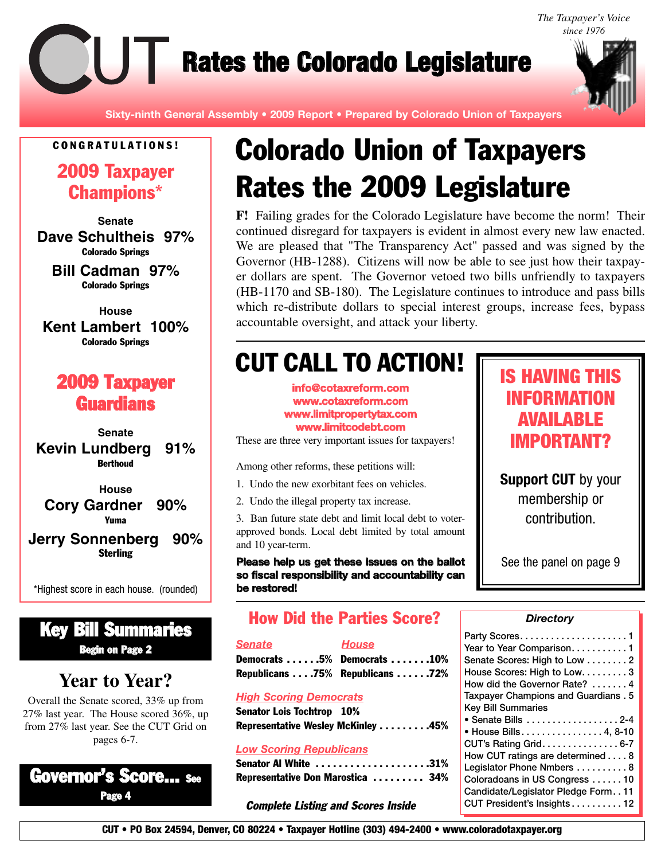*The Taxpayer's Voice since 1976*

**Rates the Colorado Legislature** 



**Sixty-ninth General Assembly • 2009 Report • Prepared by Colorado Union of Taxpayers**

### **C O N G R A T U L A T I O N S !**

**2009 Taxpayer Champions\***

**Senate Dave Schultheis 97% Colorado Springs**

**Bill Cadman 97% Colorado Springs**

**House Kent Lambert 100% Colorado Springs**

# **2009 Taxpayer Guardians**

**Senate Kevin Lundberg 91% Berthoud**

**House Cory Gardner 90% Yuma**

### **Jerry Sonnenberg 90% Sterling**

\*Highest score in each house. (rounded)

### **Key Bill Summaries Begin on Page 2**

# **Year to Year?**

Overall the Senate scored, 33% up from 27% last year. The House scored 36%, up from 27% last year. See the CUT Grid on pages 6-7.

## **Governor's Score... See Page 4**

# **Colorado Union of Taxpayers Rates the 2009 Legislature**

**F!** Failing grades for the Colorado Legislature have become the norm! Their continued disregard for taxpayers is evident in almost every new law enacted. We are pleased that "The Transparency Act" passed and was signed by the Governor (HB-1288). Citizens will now be able to see just how their taxpayer dollars are spent. The Governor vetoed two bills unfriendly to taxpayers (HB-1170 and SB-180). The Legislature continues to introduce and pass bills which re-distribute dollars to special interest groups, increase fees, bypass accountable oversight, and attack your liberty.

# **CUT CALL TO ACTION!**

**info@cotaxreform.com www.cotaxreform.com www.limitpropertytax.com www.limitcodebt.com**

These are three very important issues for taxpayers!

Among other reforms, these petitions will:

- 1. Undo the new exorbitant fees on vehicles.
- 2. Undo the illegal property tax increase.

3. Ban future state debt and limit local debt to voterapproved bonds. Local debt limited by total amount and 10 year-term.

**Please help us get these issues on the ballot so fiscal responsibility and accountability can be restored!**

# IS HAVING THIS INFORMATION AVAILABLE IMPORTANT?

**Support CUT** by your membership or contribution.

See the panel on page 9

### **How Did the Parties Score?**

*Senate House* **Democrats . . . . . .5% Democrats . . . . . . .10% Republicans . . . .75% Republicans . . . . . .72%**

### *High Scoring Democrats*

**Senator Lois Tochtrop 10% Representative Wesley McKinley . . . . . . . . .45%**

#### *Low Scoring Republicans*

**Senator Al White . . . . . . . . . . . . . . . . . . . .31% Representative Don Marostica . . . . . . . . . 34%**

#### **Complete Listing and Scores Inside**

#### *Directory*

**CUT • PO Box 24594, Denver, CO 80224 • Taxpayer Hotline (303) 494-2400 • www.coloradotaxpayer.org**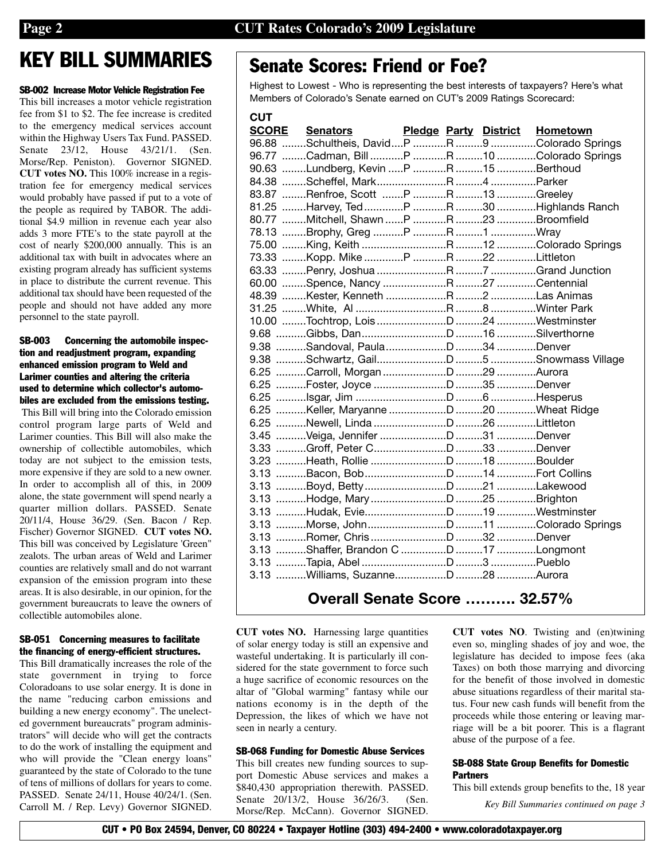# **KEY BILL SUMMARIES**

#### **SB-002 Increase Motor Vehicle Registration Fee**

This bill increases a motor vehicle registration fee from \$1 to \$2. The fee increase is credited to the emergency medical services account within the Highway Users Tax Fund. PASSED. Senate 23/12, House 43/21/1. (Sen. Morse/Rep. Peniston). Governor SIGNED. **CUT votes NO.** This 100% increase in a registration fee for emergency medical services would probably have passed if put to a vote of the people as required by TABOR. The additional \$4.9 million in revenue each year also adds 3 more FTE's to the state payroll at the cost of nearly \$200,000 annually. This is an additional tax with built in advocates where an existing program already has sufficient systems in place to distribute the current revenue. This additional tax should have been requested of the people and should not have added any more personnel to the state payroll.

#### **SB-003 Concerning the automobile inspection and readjustment program, expanding enhanced emission program to Weld and Larimer counties and altering the criteria used to determine which collector's automobiles are excluded from the emissions testing.**

This Bill will bring into the Colorado emission control program large parts of Weld and Larimer counties. This Bill will also make the ownership of collectible automobiles, which today are not subject to the emission tests, more expensive if they are sold to a new owner. In order to accomplish all of this, in 2009 alone, the state government will spend nearly a quarter million dollars. PASSED. Senate 20/11/4, House 36/29. (Sen. Bacon / Rep. Fischer) Governor SIGNED. **CUT votes NO.** This bill was conceived by Legislature 'Green" zealots. The urban areas of Weld and Larimer counties are relatively small and do not warrant expansion of the emission program into these areas. It is also desirable, in our opinion, for the government bureaucrats to leave the owners of collectible automobiles alone.

#### **SB-051 Concerning measures to facilitate the financing of energy-efficient structures.**

This Bill dramatically increases the role of the state government in trying to force Coloradoans to use solar energy. It is done in the name "reducing carbon emissions and building a new energy economy". The unelected government bureaucrats" program administrators" will decide who will get the contracts to do the work of installing the equipment and who will provide the "Clean energy loans" guaranteed by the state of Colorado to the tune of tens of millions of dollars for years to come. PASSED. Senate 24/11, House 40/24/1. (Sen. Carroll M. / Rep. Levy) Governor SIGNED.

# **Senate Scores: Friend or Foe?**

Highest to Lowest - Who is representing the best interests of taxpayers? Here's what Members of Colorado's Senate earned on CUT's 2009 Ratings Scorecard:

| <b>CUT</b>            |                                            |  |                                       |
|-----------------------|--------------------------------------------|--|---------------------------------------|
| <b>SCORE</b> Senators |                                            |  | <b>Pledge Party District Hometown</b> |
|                       |                                            |  |                                       |
|                       | 96.77 Cadman, Bill P R 10 Colorado Springs |  |                                       |
|                       | 90.63 Lundberg, Kevin P R 15 Berthoud      |  |                                       |
|                       |                                            |  |                                       |
|                       | 83.87 Renfroe, Scott P R 13 Greeley        |  |                                       |
|                       | 81.25 Harvey, Ted P R 30 Highlands Ranch   |  |                                       |
|                       | 80.77 Mitchell, Shawn P R 23 Broomfield    |  |                                       |
|                       |                                            |  |                                       |
|                       |                                            |  |                                       |
|                       |                                            |  |                                       |
|                       |                                            |  |                                       |
|                       |                                            |  |                                       |
|                       |                                            |  |                                       |
|                       |                                            |  |                                       |
|                       |                                            |  |                                       |
|                       |                                            |  |                                       |
|                       |                                            |  |                                       |
|                       |                                            |  |                                       |
|                       |                                            |  |                                       |
|                       |                                            |  |                                       |
|                       |                                            |  |                                       |
|                       |                                            |  |                                       |
|                       |                                            |  |                                       |
|                       |                                            |  |                                       |
|                       |                                            |  |                                       |
|                       |                                            |  |                                       |
|                       |                                            |  |                                       |
|                       |                                            |  |                                       |
|                       |                                            |  |                                       |
|                       |                                            |  |                                       |
|                       |                                            |  |                                       |
|                       |                                            |  |                                       |
|                       |                                            |  |                                       |
|                       |                                            |  |                                       |
|                       |                                            |  |                                       |
|                       |                                            |  |                                       |

## **Overall Senate Score ………. 32.57%**

**CUT votes NO.** Harnessing large quantities of solar energy today is still an expensive and wasteful undertaking. It is particularly ill considered for the state government to force such a huge sacrifice of economic resources on the altar of "Global warming" fantasy while our nations economy is in the depth of the Depression, the likes of which we have not seen in nearly a century.

#### **SB-068 Funding for Domestic Abuse Services**

This bill creates new funding sources to support Domestic Abuse services and makes a \$840,430 appropriation therewith. PASSED. Senate 20/13/2, House 36/26/3. (Sen. Morse/Rep. McCann). Governor SIGNED.

**CUT votes NO**. Twisting and (en)twining even so, mingling shades of joy and woe, the legislature has decided to impose fees (aka Taxes) on both those marrying and divorcing for the benefit of those involved in domestic abuse situations regardless of their marital status. Four new cash funds will benefit from the proceeds while those entering or leaving marriage will be a bit poorer. This is a flagrant abuse of the purpose of a fee.

#### **SB-088 State Group Benefits for Domestic Partners**

This bill extends group benefits to the, 18 year

*Key Bill Summaries continued on page 3*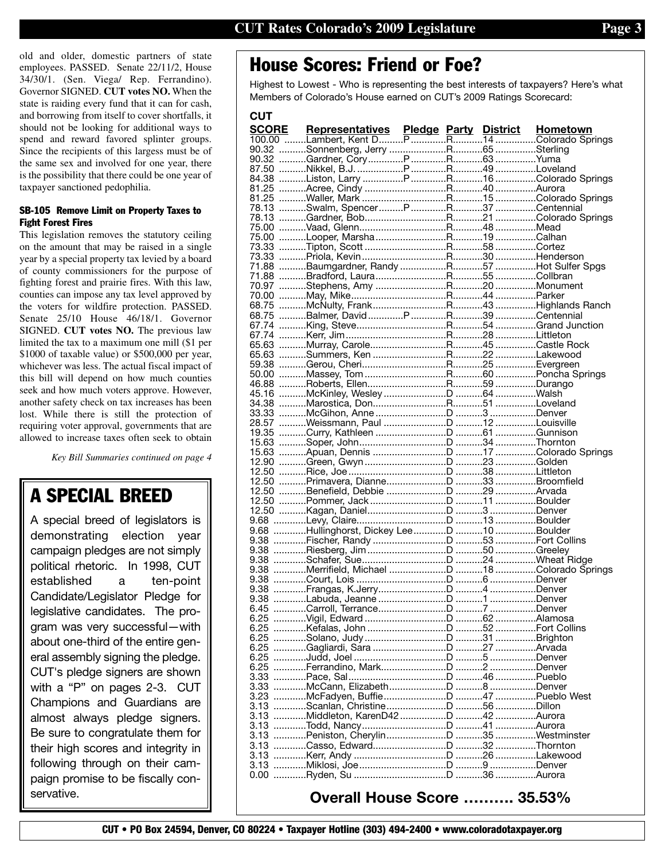old and older, domestic partners of state employees. PASSED. Senate 22/11/2, House 34/30/1. (Sen. Viega/ Rep. Ferrandino). Governor SIGNED. **CUT votes NO.** When the state is raiding every fund that it can for cash, and borrowing from itself to cover shortfalls, it should not be looking for additional ways to spend and reward favored splinter groups. Since the recipients of this largess must be of the same sex and involved for one year, there is the possibility that there could be one year of taxpayer sanctioned pedophilia.

#### **SB-105 Remove Limit on Property Taxes to Fight Forest Fires**

This legislation removes the statutory ceiling on the amount that may be raised in a single year by a special property tax levied by a board of county commissioners for the purpose of fighting forest and prairie fires. With this law, counties can impose any tax level approved by the voters for wildfire protection. PASSED. Senate 25/10 House 46/18/1. Governor SIGNED. **CUT votes NO.** The previous law limited the tax to a maximum one mill (\$1 per \$1000 of taxable value) or \$500,000 per year, whichever was less. The actual fiscal impact of this bill will depend on how much counties seek and how much voters approve. However, another safety check on tax increases has been lost. While there is still the protection of requiring voter approval, governments that are allowed to increase taxes often seek to obtain

*Key Bill Summaries continued on page 4*

# **A SPECIAL BREED**

A special breed of legislators is demonstrating election year campaign pledges are not simply political rhetoric. In 1998, CUT established a ten-point Candidate/Legislator Pledge for legislative candidates. The program was very successful—with about one-third of the entire general assembly signing the pledge. CUT's pledge signers are shown with a "P" on pages 2-3. CUT Champions and Guardians are almost always pledge signers. Be sure to congratulate them for their high scores and integrity in following through on their campaign promise to be fiscally conservative.

# **House Scores: Friend or Foe?**

Highest to Lowest - Who is representing the best interests of taxpayers? Here's what Members of Colorado's House earned on CUT's 2009 Ratings Scorecard:

| <b>CUT</b> |                             |  |  |
|------------|-----------------------------|--|--|
|            |                             |  |  |
|            |                             |  |  |
|            |                             |  |  |
|            |                             |  |  |
|            |                             |  |  |
|            |                             |  |  |
|            |                             |  |  |
|            |                             |  |  |
|            |                             |  |  |
|            |                             |  |  |
|            |                             |  |  |
|            |                             |  |  |
|            |                             |  |  |
|            |                             |  |  |
|            |                             |  |  |
|            |                             |  |  |
|            |                             |  |  |
|            |                             |  |  |
|            |                             |  |  |
|            |                             |  |  |
|            |                             |  |  |
|            |                             |  |  |
|            |                             |  |  |
|            |                             |  |  |
|            |                             |  |  |
|            |                             |  |  |
|            |                             |  |  |
|            |                             |  |  |
|            |                             |  |  |
|            |                             |  |  |
|            |                             |  |  |
|            |                             |  |  |
|            |                             |  |  |
|            |                             |  |  |
|            |                             |  |  |
|            |                             |  |  |
|            |                             |  |  |
|            |                             |  |  |
|            |                             |  |  |
|            |                             |  |  |
|            |                             |  |  |
|            |                             |  |  |
|            |                             |  |  |
|            |                             |  |  |
|            |                             |  |  |
|            |                             |  |  |
|            |                             |  |  |
|            |                             |  |  |
|            |                             |  |  |
|            |                             |  |  |
|            |                             |  |  |
|            |                             |  |  |
|            |                             |  |  |
|            |                             |  |  |
|            |                             |  |  |
|            |                             |  |  |
|            |                             |  |  |
|            |                             |  |  |
|            |                             |  |  |
|            |                             |  |  |
|            |                             |  |  |
|            |                             |  |  |
|            |                             |  |  |
|            |                             |  |  |
|            |                             |  |  |
|            |                             |  |  |
|            |                             |  |  |
|            | Overall House Score  35.53% |  |  |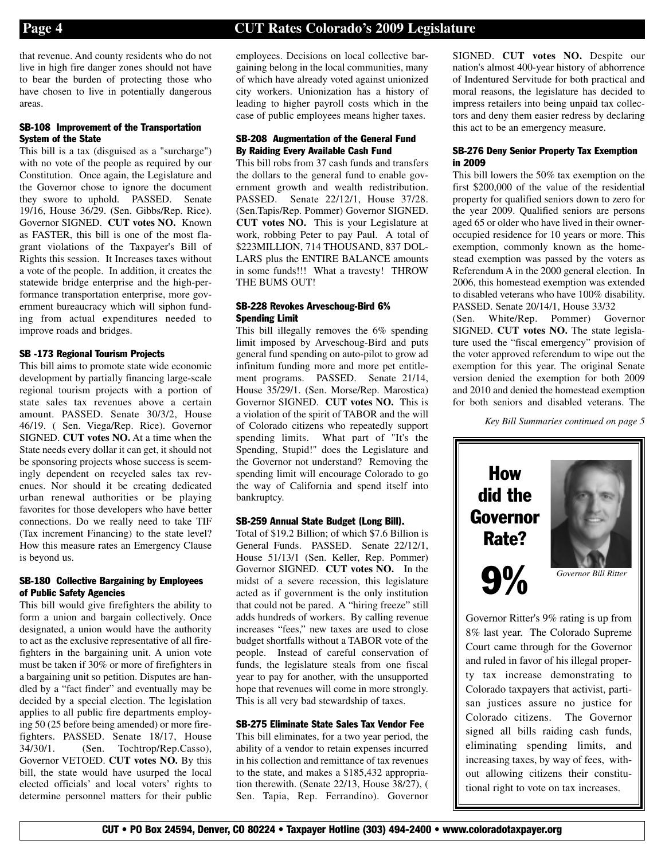that revenue. And county residents who do not live in high fire danger zones should not have to bear the burden of protecting those who have chosen to live in potentially dangerous areas.

#### **SB-108 Improvement of the Transportation System of the State**

This bill is a tax (disguised as a "surcharge") with no vote of the people as required by our Constitution. Once again, the Legislature and the Governor chose to ignore the document they swore to uphold. PASSED. Senate 19/16, House 36/29. (Sen. Gibbs/Rep. Rice). Governor SIGNED. **CUT votes NO.** Known as FASTER, this bill is one of the most flagrant violations of the Taxpayer's Bill of Rights this session. It Increases taxes without a vote of the people. In addition, it creates the statewide bridge enterprise and the high-performance transportation enterprise, more government bureaucracy which will siphon funding from actual expenditures needed to improve roads and bridges.

#### **SB -173 Regional Tourism Projects**

This bill aims to promote state wide economic development by partially financing large-scale regional tourism projects with a portion of state sales tax revenues above a certain amount. PASSED. Senate 30/3/2, House 46/19. ( Sen. Viega/Rep. Rice). Governor SIGNED. **CUT votes NO.** At a time when the State needs every dollar it can get, it should not be sponsoring projects whose success is seemingly dependent on recycled sales tax revenues. Nor should it be creating dedicated urban renewal authorities or be playing favorites for those developers who have better connections. Do we really need to take TIF (Tax increment Financing) to the state level? How this measure rates an Emergency Clause is beyond us.

#### **SB-180 Collective Bargaining by Employees of Public Safety Agencies**

This bill would give firefighters the ability to form a union and bargain collectively. Once designated, a union would have the authority to act as the exclusive representative of all firefighters in the bargaining unit. A union vote must be taken if 30% or more of firefighters in a bargaining unit so petition. Disputes are handled by a "fact finder" and eventually may be decided by a special election. The legislation applies to all public fire departments employing 50 (25 before being amended) or more firefighters. PASSED. Senate 18/17, House 34/30/1. (Sen. Tochtrop/Rep.Casso), Governor VETOED. **CUT votes NO.** By this bill, the state would have usurped the local elected officials' and local voters' rights to determine personnel matters for their public

employees. Decisions on local collective bargaining belong in the local communities, many of which have already voted against unionized city workers. Unionization has a history of leading to higher payroll costs which in the case of public employees means higher taxes.

#### **SB-208 Augmentation of the General Fund By Raiding Every Available Cash Fund**

This bill robs from 37 cash funds and transfers the dollars to the general fund to enable government growth and wealth redistribution. PASSED. Senate 22/12/1, House 37/28. (Sen.Tapis/Rep. Pommer) Governor SIGNED. **CUT votes NO.** This is your Legislature at work, robbing Peter to pay Paul. A total of \$223MILLION, 714 THOUSAND, 837 DOL-LARS plus the ENTIRE BALANCE amounts in some funds!!! What a travesty! THROW THE BUMS OUT!

#### **SB-228 Revokes Arveschoug-Bird 6% Spending Limit**

This bill illegally removes the 6% spending limit imposed by Arveschoug-Bird and puts general fund spending on auto-pilot to grow ad infinitum funding more and more pet entitlement programs. PASSED. Senate 21/14, House 35/29/1. (Sen. Morse/Rep. Marostica) Governor SIGNED. **CUT votes NO.** This is a violation of the spirit of TABOR and the will of Colorado citizens who repeatedly support spending limits. What part of "It's the Spending, Stupid!" does the Legislature and the Governor not understand? Removing the spending limit will encourage Colorado to go the way of California and spend itself into bankruptcy.

#### **SB-259 Annual State Budget (Long Bill).**

Total of \$19.2 Billion; of which \$7.6 Billion is General Funds. PASSED. Senate 22/12/1, House 51/13/1 (Sen. Keller, Rep. Pommer) Governor SIGNED. **CUT votes NO.** In the midst of a severe recession, this legislature acted as if government is the only institution that could not be pared. A "hiring freeze" still adds hundreds of workers. By calling revenue increases "fees," new taxes are used to close budget shortfalls without a TABOR vote of the people. Instead of careful conservation of funds, the legislature steals from one fiscal year to pay for another, with the unsupported hope that revenues will come in more strongly. This is all very bad stewardship of taxes.

#### **SB-275 Eliminate State Sales Tax Vendor Fee**

This bill eliminates, for a two year period, the ability of a vendor to retain expenses incurred in his collection and remittance of tax revenues to the state, and makes a \$185,432 appropriation therewith. (Senate 22/13, House 38/27), ( Sen. Tapia, Rep. Ferrandino). Governor SIGNED. **CUT votes NO.** Despite our nation's almost 400-year history of abhorrence of Indentured Servitude for both practical and moral reasons, the legislature has decided to impress retailers into being unpaid tax collectors and deny them easier redress by declaring this act to be an emergency measure.

#### **SB-276 Deny Senior Property Tax Exemption in 2009**

This bill lowers the 50% tax exemption on the first \$200,000 of the value of the residential property for qualified seniors down to zero for the year 2009. Qualified seniors are persons aged 65 or older who have lived in their owneroccupied residence for 10 years or more. This exemption, commonly known as the homestead exemption was passed by the voters as Referendum A in the 2000 general election. In 2006, this homestead exemption was extended to disabled veterans who have 100% disability. PASSED. Senate 20/14/1, House 33/32 (Sen. White/Rep. Pommer) Governor

SIGNED. **CUT votes NO.** The state legislature used the "fiscal emergency" provision of the voter approved referendum to wipe out the exemption for this year. The original Senate version denied the exemption for both 2009 and 2010 and denied the homestead exemption for both seniors and disabled veterans. The

*Key Bill Summaries continued on page 5*



Governor Ritter's 9% rating is up from 8% last year. The Colorado Supreme Court came through for the Governor and ruled in favor of his illegal property tax increase demonstrating to Colorado taxpayers that activist, partisan justices assure no justice for Colorado citizens. The Governor signed all bills raiding cash funds, eliminating spending limits, and increasing taxes, by way of fees, without allowing citizens their constitutional right to vote on tax increases.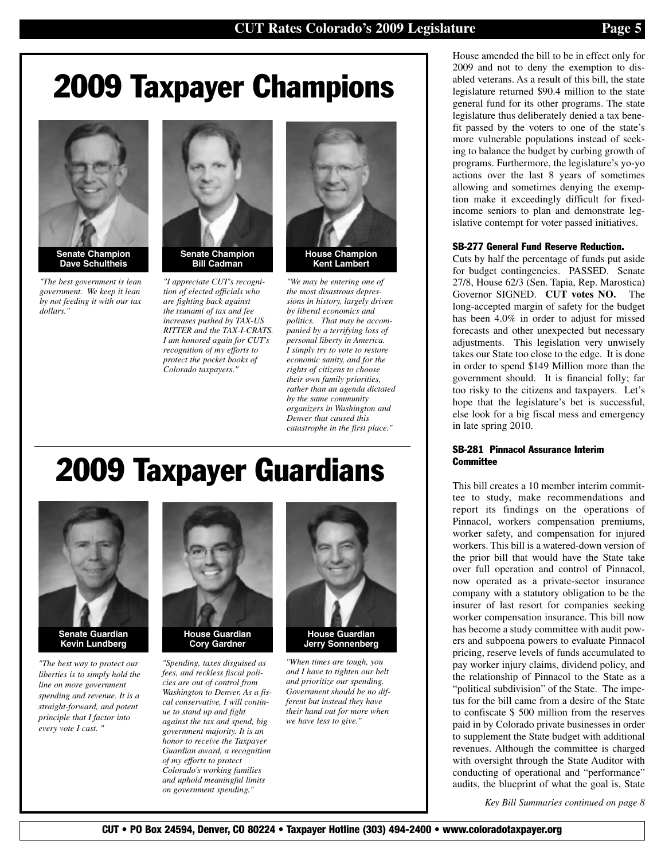# **2009 Taxpayer Champions**



**Senate Champion Dave Schultheis** 

*"The best government is lean government. We keep it lean by not feeding it with our tax dollars."*



*"I appreciate CUT's recognition of elected officials who are fighting back against the tsunami of tax and fee increases pushed by TAX-US RITTER and the TAX-I-CRATS. I am honored again for CUT's recognition of my efforts to protect the pocket books of Colorado taxpayers."*



*"We may be entering one of the most disastrous depressions in history, largely driven by liberal economics and politics. That may be accompanied by a terrifying loss of personal liberty in America. I simply try to vote to restore economic sanity, and for the rights of citizens to choose their own family priorities, rather than an agenda dictated by the same community organizers in Washington and Denver that caused this catastrophe in the first place."*

# **2009 Taxpayer Guardians**



**Kevin Lundberg** 

*"The best way to protect our liberties is to simply hold the line on more government spending and revenue. It is a straight-forward, and potent principle that I factor into every vote I cast. "* 



*"Spending, taxes disguised as fees, and reckless fiscal policies are out of control from Washington to Denver. As a fiscal conservative, I will continue to stand up and fight against the tax and spend, big government majority. It is an honor to receive the Taxpayer Guardian award, a recognition of my efforts to protect Colorado's working families and uphold meaningful limits on government spending."* 



*"When times are tough, you and I have to tighten our belt and prioritize our spending. Government should be no different but instead they have their hand out for more when we have less to give."*

House amended the bill to be in effect only for 2009 and not to deny the exemption to disabled veterans. As a result of this bill, the state legislature returned \$90.4 million to the state general fund for its other programs. The state legislature thus deliberately denied a tax benefit passed by the voters to one of the state's more vulnerable populations instead of seeking to balance the budget by curbing growth of programs. Furthermore, the legislature's yo-yo actions over the last 8 years of sometimes allowing and sometimes denying the exemption make it exceedingly difficult for fixedincome seniors to plan and demonstrate legislative contempt for voter passed initiatives.

#### **SB-277 General Fund Reserve Reduction.**

Cuts by half the percentage of funds put aside for budget contingencies. PASSED. Senate 27/8, House 62/3 (Sen. Tapia, Rep. Marostica) Governor SIGNED. **CUT votes NO.** The long-accepted margin of safety for the budget has been 4.0% in order to adjust for missed forecasts and other unexpected but necessary adjustments. This legislation very unwisely takes our State too close to the edge. It is done in order to spend \$149 Million more than the government should. It is financial folly; far too risky to the citizens and taxpayers. Let's hope that the legislature's bet is successful, else look for a big fiscal mess and emergency in late spring 2010.

#### **SB-281 Pinnacol Assurance Interim Committee**

This bill creates a 10 member interim committee to study, make recommendations and report its findings on the operations of Pinnacol, workers compensation premiums, worker safety, and compensation for injured workers. This bill is a watered-down version of the prior bill that would have the State take over full operation and control of Pinnacol, now operated as a private-sector insurance company with a statutory obligation to be the insurer of last resort for companies seeking worker compensation insurance. This bill now has become a study committee with audit powers and subpoena powers to evaluate Pinnacol pricing, reserve levels of funds accumulated to pay worker injury claims, dividend policy, and the relationship of Pinnacol to the State as a "political subdivision" of the State. The impetus for the bill came from a desire of the State to confiscate \$ 500 million from the reserves paid in by Colorado private businesses in order to supplement the State budget with additional revenues. Although the committee is charged with oversight through the State Auditor with conducting of operational and "performance" audits, the blueprint of what the goal is, State

*Key Bill Summaries continued on page 8*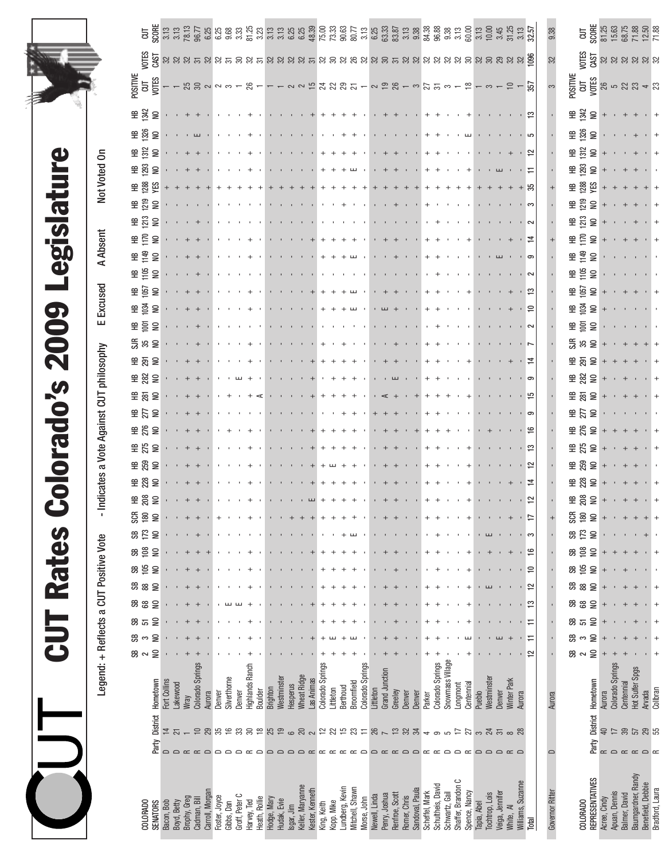| $\overline{\phantom{a}}$<br>$\overline{\phantom{a}}$<br>$\bullet$ |
|-------------------------------------------------------------------|
|                                                                   |
|                                                                   |
| <b>JJ</b>                                                         |
| $\overline{\phantom{a}}$                                          |

Legend: + Reflects a CUT Positive Vote - Indicates a Vote Against CUT philosophy E Excused A Absent Not Voted On

- Indicates a Vote Against CUT philosophy

Legend: + Reflects a CUT Positive Vote

Not Voted On

**A Absent** 

E Excused

|                                                                                                                                                                                                                                                                                                              |                                                               |                                 |              |                      |                                                            |               |                                  |                                               |                            |               |             |                      |                                                    |                    |                                                                         |                   |                         |                 |                             |                           |               |                          |                                                                           |                                                                             |                                 |                |                   |                  |                    |                   |             |                                                 |                                                             |                     |                          |                | 9.38            |    |                  | $\begin{array}{l} \texttt{CUT} \\ \texttt{SCORE} \\ \texttt{SCORE} \\ \texttt{SC} \\ \texttt{SC} \\ \texttt{SC} \\ \texttt{SC} \\ \texttt{C} \\ \texttt{C} \\ \texttt{C} \\ \texttt{C} \\ \texttt{C} \\ \texttt{C} \\ \texttt{C} \\ \texttt{C} \\ \texttt{C} \\ \texttt{C} \\ \texttt{C} \\ \texttt{C} \\ \texttt{C} \\ \texttt{C} \\ \texttt{C} \\ \texttt{C} \\ \texttt{C} \\ \texttt{C} \\ \texttt{C} \\ \texttt{C} \\ \texttt{C} \\ \texttt{C} \\ \texttt{C$ |                           |                  |                       |                                                                 |                   |                 |
|--------------------------------------------------------------------------------------------------------------------------------------------------------------------------------------------------------------------------------------------------------------------------------------------------------------|---------------------------------------------------------------|---------------------------------|--------------|----------------------|------------------------------------------------------------|---------------|----------------------------------|-----------------------------------------------|----------------------------|---------------|-------------|----------------------|----------------------------------------------------|--------------------|-------------------------------------------------------------------------|-------------------|-------------------------|-----------------|-----------------------------|---------------------------|---------------|--------------------------|---------------------------------------------------------------------------|-----------------------------------------------------------------------------|---------------------------------|----------------|-------------------|------------------|--------------------|-------------------|-------------|-------------------------------------------------|-------------------------------------------------------------|---------------------|--------------------------|----------------|-----------------|----|------------------|------------------------------------------------------------------------------------------------------------------------------------------------------------------------------------------------------------------------------------------------------------------------------------------------------------------------------------------------------------------------------------------------------------------------------------------------------------------|---------------------------|------------------|-----------------------|-----------------------------------------------------------------|-------------------|-----------------|
|                                                                                                                                                                                                                                                                                                              |                                                               |                                 |              |                      |                                                            |               |                                  |                                               |                            |               |             |                      |                                                    |                    |                                                                         |                   |                         |                 |                             |                           |               |                          |                                                                           |                                                                             |                                 |                |                   |                  |                    |                   |             |                                                 |                                                             |                     |                          |                | S2              |    |                  | <u>ត្ត<br/>ស្រី</u><br>ស្រី ន ន ន ន ន ន                                                                                                                                                                                                                                                                                                                                                                                                                          |                           |                  |                       |                                                                 |                   |                 |
| POSITIVE<br>CUT<br>VOTES                                                                                                                                                                                                                                                                                     |                                                               |                                 |              |                      | <b>1133223</b>                                             |               |                                  |                                               | 26                         |               |             |                      | 1 2 2 12 22 23 2 1 2 2 2 3 1 2 3 2 4 2 5 3 4 5 4 5 |                    |                                                                         |                   |                         |                 |                             |                           |               |                          |                                                                           |                                                                             |                                 |                |                   |                  |                    |                   |             |                                                 |                                                             |                     |                          | 357            |                 |    |                  | <b>DESTAL SERVER SERVER SERVER</b><br><b>DESTAL SERVER SERVER</b><br>Experience Server Server Server Server Server Server Server Server Server Server Server Server Server Server S                                                                                                                                                                                                                                                                              |                           |                  |                       |                                                                 |                   |                 |
| ≆ 꽃 울                                                                                                                                                                                                                                                                                                        |                                                               |                                 | $^{+}$       |                      |                                                            |               |                                  |                                               |                            |               |             |                      |                                                    |                    |                                                                         |                   |                         |                 |                             |                           |               |                          | $+ +$                                                                     |                                                                             |                                 |                |                   |                  |                    |                   |             |                                                 |                                                             |                     |                          | . ಇ            |                 |    |                  | 포용으+ · +                                                                                                                                                                                                                                                                                                                                                                                                                                                         |                           |                  |                       |                                                                 | $+$               |                 |
| $\frac{6}{5}$ $\frac{6}{5}$ $\frac{6}{5}$                                                                                                                                                                                                                                                                    |                                                               |                                 |              |                      | $\mathbf{r}=\mathbf{r} \mathbf{r} \mathbf{r} = \mathbf{r}$ |               |                                  |                                               |                            |               |             |                      |                                                    |                    |                                                                         |                   |                         |                 |                             |                           |               |                          |                                                                           |                                                                             |                                 |                |                   |                  |                    |                   |             |                                                 |                                                             |                     |                          |                |                 |    |                  | ⊞ ※ 이 · ·                                                                                                                                                                                                                                                                                                                                                                                                                                                        |                           |                  |                       |                                                                 |                   |                 |
| $\oplus$ $\frac{52}{52}$                                                                                                                                                                                                                                                                                     |                                                               |                                 |              |                      |                                                            | $\mathbf{r}$  |                                  |                                               |                            |               |             |                      |                                                    |                    |                                                                         |                   |                         |                 |                             |                           |               |                          | $+ +$                                                                     |                                                                             |                                 |                |                   |                  |                    |                   |             |                                                 |                                                             |                     |                          | $\approx$      |                 |    |                  |                                                                                                                                                                                                                                                                                                                                                                                                                                                                  |                           |                  |                       |                                                                 | $+$               |                 |
| <b>또 있</b><br>$\subseteq$                                                                                                                                                                                                                                                                                    |                                                               |                                 |              |                      |                                                            |               |                                  |                                               |                            |               |             |                      |                                                    |                    |                                                                         |                   |                         |                 |                             | $\mathbf{u}$              |               | $+$                      |                                                                           |                                                                             |                                 |                |                   |                  |                    | $\! + \!\!\!\!$   |             |                                                 | $\mathbf{r}=\mathbf{L}\mathbf{L}$                           |                     | ・ロ                       |                |                 |    |                  | $\overline{a}$ $\overline{a}$ $\overline{b}$ $\overline{b}$ $\overline{c}$ +                                                                                                                                                                                                                                                                                                                                                                                     |                           |                  | $+$ + +               |                                                                 |                   |                 |
| 高窗的                                                                                                                                                                                                                                                                                                          | $^+$                                                          | $+$                             |              |                      |                                                            | $^{+}$        |                                  |                                               |                            |               |             |                      |                                                    |                    |                                                                         | $^{+}$            |                         |                 |                             |                           | $^+$          | $\,$ +                   | $^+$                                                                      |                                                                             |                                 |                |                   |                  |                    | $\boldsymbol{+}$  |             |                                                 |                                                             |                     | + ಜಿ                     |                |                 |    |                  | $\frac{28}{28}$ $\frac{22}{2}$ $\frac{1}{2}$ + + + +                                                                                                                                                                                                                                                                                                                                                                                                             |                           |                  |                       |                                                                 | $+$ +             |                 |
| <b>⊞ 음</b><br>$\trianglerighteq$                                                                                                                                                                                                                                                                             |                                                               |                                 |              |                      |                                                            |               |                                  |                                               |                            |               |             |                      |                                                    |                    |                                                                         |                   |                         |                 |                             |                           |               |                          |                                                                           | $\mathbf{r}=\mathbf{r}+\mathbf{r}+\mathbf{r}+\mathbf{r}$ .                  |                                 | $+$            |                   |                  |                    |                   |             |                                                 |                                                             |                     |                          |                |                 |    |                  | $\frac{66}{2}$ $\frac{66}{2}$ $\frac{1}{2}$ + + + +                                                                                                                                                                                                                                                                                                                                                                                                              |                           |                  |                       |                                                                 | $+$               |                 |
| ≌ ቺ<br>$\trianglerighteq$<br>P E E                                                                                                                                                                                                                                                                           | $\begin{array}{cccccccccccccc} 0 & 0 & 0 & + & + \end{array}$ |                                 |              | $+$                  |                                                            | $\mathbf{r}$  |                                  |                                               |                            |               |             |                      |                                                    |                    |                                                                         |                   |                         |                 |                             |                           |               |                          | $\leftarrow$ + $\leftarrow$                                               | $\mathbf{r}=(\mathbf{r}-\mathbf{r})$ , $\mathbf{r}=(\mathbf{r}-\mathbf{r})$ |                                 |                | $+$               |                  |                    | $\mathbf{r}$      |             | $\mathbf{r}=(1,\ldots,1)$                       |                                                             |                     | ് പ                      | ・ヹ             |                 |    |                  | $\frac{1}{2}$ $\frac{1}{2}$ $\frac{1}{2}$ $\frac{1}{2}$<br>$\frac{66}{5}$ $\frac{66}{5}$ $\frac{66}{5}$ $\frac{66}{5}$ $\frac{66}{5}$ $\frac{66}{5}$ $\frac{66}{5}$ $\frac{66}{5}$ $\frac{66}{5}$ $\frac{66}{5}$ $\frac{66}{5}$ $\frac{66}{5}$ $\frac{66}{5}$ $\frac{66}{5}$ $\frac{66}{5}$ $\frac{66}{5}$ $\frac{66}{5}$ $\frac{66}{5}$ $\frac{66}{5}$ $\frac{66}{5}$                                                                                           |                           |                  | $\alpha$ and $\alpha$ |                                                                 | $+$               |                 |
| 또 운<br>$\trianglerighteq$                                                                                                                                                                                                                                                                                    |                                                               |                                 |              |                      | $1 - 1 + + + 1$                                            | $\mathbf{r}$  |                                  |                                               |                            |               |             |                      | $1 - 1 - 1 - 1 + 1 +  +$                           |                    | $\leftarrow$ +                                                          |                   | $+$ +                   | $^+$            | $\boldsymbol{+}$<br>$+$ $-$ |                           |               |                          |                                                                           |                                                                             |                                 | $+$ +          |                   |                  |                    |                   |             |                                                 | $\mathbf{r} = \mathbf{r} \cdot \mathbf{m} \cdot \mathbf{r}$ |                     |                          |                |                 |    |                  | 또 운 오 (Particle Partie)                                                                                                                                                                                                                                                                                                                                                                                                                                          |                           |                  |                       |                                                                 | $+$               |                 |
| e g<br>$\subseteq$                                                                                                                                                                                                                                                                                           |                                                               |                                 |              |                      |                                                            | $\mathbf{r}$  |                                  |                                               |                            |               |             |                      |                                                    |                    |                                                                         |                   | $\mathbf{1}=\mathbf{1}$ |                 |                             | $\mathbf{1}=\mathbf{1}$ . |               |                          |                                                                           | $\mathbf{1}=\mathbf{1}=\mathbf{1}=\mathbf{1}=\mathbf{1}$ .                  |                                 |                | $+$               |                  |                    | $\mathbf{r}$      |             | $\mathbf{1}=\mathbf{1}+\mathbf{1}+\mathbf{1}$ . |                                                             |                     | $\cdot$ $\sim$           |                |                 |    |                  | 또한 모든 아이에 아이에                                                                                                                                                                                                                                                                                                                                                                                                                                                    |                           |                  |                       |                                                                 |                   |                 |
| $2\frac{3}{2}$ $\frac{9}{2}$                                                                                                                                                                                                                                                                                 |                                                               |                                 | $+$          |                      |                                                            |               |                                  |                                               |                            |               |             |                      |                                                    |                    |                                                                         |                   |                         |                 |                             |                           |               |                          | $\epsilon^-$ + $\pm$ $\rightarrow$                                        |                                                                             |                                 | $+$ +          |                   |                  |                    | $\boldsymbol{+}$  |             |                                                 |                                                             |                     | . ≌                      |                |                 |    |                  | $+ + \cdot + \leq \frac{3}{2} \pm \frac{3}{2}$                                                                                                                                                                                                                                                                                                                                                                                                                   |                           |                  |                       |                                                                 | $+$               |                 |
| 로 효<br>$\trianglerighteq$                                                                                                                                                                                                                                                                                    |                                                               |                                 |              |                      | $1 - 1 + + + 1$                                            | $\mathbf{r}$  |                                  |                                               |                            |               |             |                      |                                                    |                    |                                                                         |                   |                         |                 |                             |                           |               |                          |                                                                           | $\epsilon$ and $\epsilon$ and $\epsilon$                                    |                                 |                | $+$ +             |                  |                    |                   |             |                                                 |                                                             |                     | . ≘                      |                |                 |    |                  | 포혈을 + + + + + +                                                                                                                                                                                                                                                                                                                                                                                                                                                  |                           |                  |                       |                                                                 |                   |                 |
| 또 흐 ㅎ                                                                                                                                                                                                                                                                                                        |                                                               |                                 |              |                      |                                                            |               |                                  |                                               |                            |               |             |                      |                                                    |                    |                                                                         |                   |                         |                 |                             |                           |               |                          |                                                                           | $\mathbf{1}=\mathbf{1}=\mathbf{1}=\mathbf{1}=\mathbf{1}$ .                  |                                 |                | $+$               |                  |                    | $\blacksquare$    |             | $\mathbf{r}=(\mathbf{r}_1,\ldots,\mathbf{r}_n)$ |                                                             |                     | $\overline{\phantom{a}}$ |                |                 |    |                  | 또 좋을 때 아이에 아이에                                                                                                                                                                                                                                                                                                                                                                                                                                                   |                           |                  |                       |                                                                 |                   |                 |
| អ្ហី ង ឱ                                                                                                                                                                                                                                                                                                     |                                                               |                                 |              |                      |                                                            |               |                                  |                                               |                            |               |             |                      |                                                    |                    |                                                                         |                   |                         |                 |                             |                           |               |                          |                                                                           | $\ell = \ell - + \ell + \ell$ .                                             |                                 |                | $+$ +             |                  |                    |                   |             |                                                 | $\mathbf{u} = \mathbf{u} - \mathbf{u}$ .                    |                     |                          |                |                 |    |                  | $589 = + + + +$                                                                                                                                                                                                                                                                                                                                                                                                                                                  |                           |                  |                       |                                                                 | $+$ +             |                 |
| $\oplus$ $\overline{5}$ $\geq$                                                                                                                                                                                                                                                                               |                                                               |                                 |              |                      | $+ + +$                                                    | $\mathbf{r}$  |                                  |                                               |                            |               |             |                      | $+ + + + +$                                        |                    |                                                                         |                   |                         | $+$             |                             | $+$ $+$                   |               |                          |                                                                           | $\epsilon$ + + $\epsilon$                                                   |                                 |                | $+$ +             |                  |                    | $^+$              |             |                                                 | $1 - 1 - 1 - 1$                                             |                     | ・草                       |                |                 |    |                  | $\frac{40}{20}$ $\frac{50}{20}$ $\frac{100}{20}$ + + + + +                                                                                                                                                                                                                                                                                                                                                                                                       |                           |                  |                       |                                                                 | $+$               |                 |
| $\cong$ $\frac{20}{20}$                                                                                                                                                                                                                                                                                      |                                                               |                                 |              |                      |                                                            |               |                                  |                                               |                            |               |             |                      |                                                    |                    | $\cdots \cdots +$                                                       |                   |                         |                 |                             |                           |               |                          | $\mathbf{r} = \mathbf{r} + \mathbf{L} \mathbf{L} \mathbf{I} = \mathbf{r}$ |                                                                             |                                 | $\ddot{}$      |                   |                  |                    |                   |             |                                                 |                                                             |                     |                          |                |                 |    |                  | $\cong$ $\frac{20}{20}$ $\cong$ $+$                                                                                                                                                                                                                                                                                                                                                                                                                              |                           | $+$              |                       | $\mathcal{A}$                                                   | $+$               |                 |
| $\frac{40}{20}$ $\frac{1}{20}$ $\frac{1}{20}$ $\frac{1}{20}$ $\frac{1}{20}$ $\frac{1}{20}$ $\frac{1}{20}$ $\frac{1}{20}$ $\frac{1}{20}$ $\frac{1}{20}$ $\frac{1}{20}$ $\frac{1}{20}$ $\frac{1}{20}$ $\frac{1}{20}$ $\frac{1}{20}$ $\frac{1}{20}$ $\frac{1}{20}$ $\frac{1}{20}$ $\frac{1}{20}$ $\frac{1}{20}$ |                                                               |                                 |              |                      |                                                            |               | $\begin{array}{c} + \end{array}$ |                                               |                            | $\prec$       |             |                      |                                                    |                    |                                                                         |                   |                         |                 | $+$ +                       |                           |               |                          |                                                                           | $\epsilon \prec \epsilon + \epsilon \epsilon + \epsilon$                    |                                 | $+$ +          |                   |                  |                    | $\boldsymbol{+}$  |             |                                                 |                                                             |                     |                          | . 15           |                 |    |                  | $9892 + 127$                                                                                                                                                                                                                                                                                                                                                                                                                                                     |                           |                  |                       |                                                                 | $+$               |                 |
| $\cong$ $\overline{5}$ $\cong$                                                                                                                                                                                                                                                                               |                                                               |                                 |              |                      | $1 + 1 + 1 + 1$                                            | $\mathbf{r}$  |                                  |                                               |                            |               |             |                      | $1 - 1 - 1 - 1 - 1 - 1 - 1 + 1 - 1$                |                    |                                                                         |                   |                         |                 |                             |                           |               |                          |                                                                           | $+ + + + \cdots +$                                                          |                                 |                | $+$ +             |                  |                    |                   |             |                                                 | $\mathbf{1}=\mathbf{1}=\mathbf{1}=\mathbf{1}$               |                     | ் ை                      |                |                 |    |                  | 이 아이에 의성원                                                                                                                                                                                                                                                                                                                                                                                                                                                        |                           |                  |                       |                                                                 |                   |                 |
| $E \approx$<br>$\epsilon$                                                                                                                                                                                                                                                                                    |                                                               |                                 |              |                      |                                                            |               |                                  |                                               |                            |               |             |                      |                                                    |                    | $\begin{array}{cccc} \bullet & \bullet & \bullet & \bullet \end{array}$ |                   | $+$ +                   |                 | $\! + \!\!\!\!$             |                           |               | $+$                      | $\boldsymbol{+}$                                                          |                                                                             |                                 | $\ddot{}$      |                   |                  |                    |                   |             | $+$                                             |                                                             |                     |                          | <u>ي</u> .     |                 |    |                  | $282 + + + +$                                                                                                                                                                                                                                                                                                                                                                                                                                                    |                           |                  |                       |                                                                 | $+$               |                 |
| ≌ ¦্ৰি                                                                                                                                                                                                                                                                                                       | $\begin{array}{cccccccccccccc} 0 & 0 & 0 & + & + \end{array}$ |                                 |              |                      |                                                            |               | $\mathbf{r} = \mathbf{r}$        |                                               |                            |               |             |                      |                                                    |                    |                                                                         |                   |                         |                 |                             |                           |               |                          | $\epsilon^-$ + $\pm$ $\pm$                                                |                                                                             |                                 | $+$ +          |                   |                  |                    | $\qquad \qquad +$ |             |                                                 |                                                             |                     | . .                      |                |                 |    |                  | $P(S = + + + +)$                                                                                                                                                                                                                                                                                                                                                                                                                                                 |                           |                  |                       |                                                                 | $+$               |                 |
| $\oplus$ $\stackrel{\frown}{\mathcal{R}} \cong$                                                                                                                                                                                                                                                              |                                                               |                                 |              |                      | $1 - 1 + 4 + 1$                                            |               |                                  | $\mathbf{E} = \mathbf{E} \times \mathbf{E}$ . | $^{+}$                     | $\mathcal{A}$ |             |                      |                                                    |                    |                                                                         |                   |                         |                 |                             |                           |               |                          |                                                                           |                                                                             |                                 |                | $+$ +             |                  | $\cdots$ +         |                   |             |                                                 | $\mathcal{A}=\mathcal{A}=\mathcal{A}=\mathcal{A}$           |                     |                          | · 얻            |                 |    |                  | $282 + 1 + 1$                                                                                                                                                                                                                                                                                                                                                                                                                                                    |                           |                  |                       |                                                                 |                   |                 |
| $R$ $R$ $\geq$                                                                                                                                                                                                                                                                                               |                                                               |                                 |              |                      | $+ + +$                                                    |               | $\mathbf{1}=\mathbf{1}$          |                                               | $^{+}$                     | $\sim$        |             |                      | $1.1.1.1 + + + + + + +$                            |                    |                                                                         |                   |                         |                 |                             |                           |               |                          | $+ + +$                                                                   |                                                                             | $\sim 10^{-1}$ , $\sim 10^{-1}$ |                | $+$ +             |                  | $1 + 4 + 1 + 1$    |                   |             |                                                 |                                                             |                     |                          | $\overline{4}$ |                 |    |                  | $\cong$ $\mathbb{S}$ $\cong$ +                                                                                                                                                                                                                                                                                                                                                                                                                                   |                           | $+$              |                       | $+$                                                             | $+$               |                 |
| <b>또영으</b> · · + + · · · · + + ·<br>$\frac{80}{2}$<br>క్ష<br>$\mathsf{S}$                                                                                                                                                                                                                                    |                                                               |                                 |              |                      |                                                            |               |                                  |                                               |                            |               |             |                      |                                                    |                    |                                                                         |                   |                         |                 |                             |                           |               |                          |                                                                           |                                                                             |                                 |                |                   |                  |                    | $\,{}^{+}\,$      |             |                                                 |                                                             |                     |                          | . ಇ<br>₽       |                 | æ  | 180              | $\cong$ $\frac{80}{8}$ $\cong$ + $\cdot$ + +<br>S                                                                                                                                                                                                                                                                                                                                                                                                                | $^{+}$                    |                  |                       |                                                                 | $+$               |                 |
| 173<br>æ<br>是                                                                                                                                                                                                                                                                                                |                                                               |                                 |              |                      |                                                            |               |                                  |                                               |                            |               |             |                      |                                                    |                    |                                                                         |                   |                         |                 |                             |                           |               |                          |                                                                           |                                                                             |                                 |                |                   |                  |                    |                   |             |                                                 |                                                             |                     |                          | c              |                 | ஜ  | 173              | 是                                                                                                                                                                                                                                                                                                                                                                                                                                                                |                           |                  |                       |                                                                 |                   |                 |
| $\frac{8}{2}$<br>æ<br>¥                                                                                                                                                                                                                                                                                      |                                                               |                                 |              |                      |                                                            |               |                                  |                                               |                            |               |             |                      |                                                    |                    |                                                                         |                   |                         |                 |                             |                           |               |                          |                                                                           |                                                                             |                                 |                |                   |                  |                    |                   |             |                                                 |                                                             |                     |                          | ٵ              |                 | ఙ  | $\approx$        | $\trianglerighteq$                                                                                                                                                                                                                                                                                                                                                                                                                                               |                           |                  |                       |                                                                 |                   |                 |
| 105<br>සි<br>$\trianglerighteq$                                                                                                                                                                                                                                                                              |                                                               |                                 |              |                      |                                                            |               |                                  |                                               |                            |               |             |                      |                                                    |                    |                                                                         |                   |                         |                 |                             |                           |               |                          |                                                                           |                                                                             |                                 |                |                   |                  |                    |                   |             |                                                 |                                                             |                     |                          | ≘              |                 | සි | $\frac{105}{20}$ | $\trianglerighteq$                                                                                                                                                                                                                                                                                                                                                                                                                                               |                           |                  |                       |                                                                 |                   |                 |
| <b>SS</b> 88<br>₽                                                                                                                                                                                                                                                                                            |                                                               |                                 |              |                      |                                                            |               |                                  |                                               |                            |               |             |                      |                                                    |                    |                                                                         |                   |                         |                 |                             |                           |               |                          |                                                                           |                                                                             |                                 |                |                   |                  |                    |                   |             |                                                 |                                                             |                     |                          | ₽              |                 | ඝ  | 88               | $\epsilon$                                                                                                                                                                                                                                                                                                                                                                                                                                                       |                           |                  |                       |                                                                 |                   | $\overline{1}$  |
| සී ස<br>₽                                                                                                                                                                                                                                                                                                    |                                                               |                                 |              |                      |                                                            |               |                                  |                                               |                            |               |             |                      |                                                    |                    |                                                                         |                   |                         |                 |                             |                           |               |                          |                                                                           |                                                                             |                                 |                |                   |                  |                    |                   |             |                                                 |                                                             |                     |                          | ≌              |                 |    | 8                | $\trianglerighteq$                                                                                                                                                                                                                                                                                                                                                                                                                                               |                           |                  |                       |                                                                 |                   |                 |
| ಜಿ ಜ<br>₽                                                                                                                                                                                                                                                                                                    |                                                               |                                 |              |                      |                                                            |               |                                  |                                               |                            |               |             |                      |                                                    |                    |                                                                         |                   |                         |                 |                             |                           |               |                          |                                                                           |                                                                             |                                 |                |                   |                  |                    |                   |             |                                                 |                                                             |                     |                          |                |                 | ஜ  | 고                | $\approx$                                                                                                                                                                                                                                                                                                                                                                                                                                                        |                           |                  |                       |                                                                 |                   |                 |
| $\epsilon$<br>æ<br>$\sim$                                                                                                                                                                                                                                                                                    |                                                               |                                 |              |                      |                                                            |               |                                  |                                               |                            |               |             |                      |                                                    |                    |                                                                         |                   |                         |                 | ш                           |                           |               |                          |                                                                           |                                                                             |                                 |                |                   |                  |                    |                   |             |                                                 |                                                             |                     |                          |                |                 | ஜ  | S                | $\subseteq$                                                                                                                                                                                                                                                                                                                                                                                                                                                      |                           |                  |                       |                                                                 |                   |                 |
| $\epsilon$<br>ვ ∝                                                                                                                                                                                                                                                                                            |                                                               |                                 |              |                      |                                                            |               |                                  |                                               |                            |               |             |                      |                                                    |                    |                                                                         |                   |                         |                 |                             |                           |               |                          |                                                                           |                                                                             |                                 |                |                   |                  |                    |                   |             |                                                 |                                                             |                     |                          | ≌              |                 | ஐ  | $\sim$           | $\mathsf{S}$                                                                                                                                                                                                                                                                                                                                                                                                                                                     | $^{+}$                    | $\,^+$           |                       |                                                                 |                   | $\ddot{}$       |
| Hometown                                                                                                                                                                                                                                                                                                     | Fort Collins                                                  | Lakewood                        | Wray         | Colorado Springs     | Aurora                                                     | Denver        | Silverthome                      | Denver                                        | Highlands Ranch            | Boulder       | Brighton    | Westminster          | Hesperus                                           | <b>Wheat Ridge</b> | Las Animas                                                              | Colorado Springs  | Littleton               | Berthoud        | <b>Broomfield</b>           | Colorado Springs          | Littleton     | Grand Junction           | Greeley                                                                   | Denver                                                                      | Denver                          | Parker         | Colorado Springs  | Snowmass Village | Longmont           | Centennial        | Pueblo      | Westminster                                     | <b>Denver</b>                                               | Winter Park         | Aurora                   |                | Aurora          |    |                  | Party District Hometown                                                                                                                                                                                                                                                                                                                                                                                                                                          | <b>Aurora</b>             | Colorado Springs | Centennial            | Hot Sulfer Spgs                                                 | Arvada            | Collbran        |
| District H                                                                                                                                                                                                                                                                                                   | 14                                                            | $\overline{\sim}$               |              | $\rightleftharpoons$ | 29                                                         | 35            | $\frac{6}{1}$                    | $33^{\circ}$                                  |                            | $\frac{8}{2}$ | 25          | $\overline{19}$      | $\circ$                                            | 20                 | $\sim$                                                                  |                   | 2252                    |                 |                             | $\overline{\phantom{a}}$  | 26            | $\overline{\phantom{0}}$ |                                                                           | 13.84                                                                       |                                 | $\rightarrow$  | $\sigma$          | LO               | 7T                 |                   |             |                                                 | ನಿ ನನ ∞ $\infty$                                            |                     |                          |                |                 |    |                  |                                                                                                                                                                                                                                                                                                                                                                                                                                                                  | $\mathbb{Q}^{\mathsf{p}}$ |                  | $\frac{12}{12}$       |                                                                 | 29 55             |                 |
| Party                                                                                                                                                                                                                                                                                                        | $\qquad \qquad \Box$                                          | $\Box \cong \underline{\alpha}$ |              |                      | $\qquad \qquad \Box$                                       | $\Box$        | $\Box$                           |                                               | $\Omega$ $\Omega$ $\Omega$ |               | $\Box$      | $\qquad \qquad \Box$ | $\qquad \qquad \Box$                               | $\Box$             | $\simeq$                                                                | $\propto \propto$ |                         | $\approx$       |                             | $\approx$ $\approx$       | $\Box$        | $\simeq$                 |                                                                           | $\approx$ $\approx$                                                         | $\qquad \qquad \Box$            | $\simeq$       | $\simeq$          | $\Box$           | $\Box$             | $\simeq$          | $\Box$      | $\Box$                                          | $\Box$                                                      | $\approx$ $\approx$ |                          |                | $\Box$          |    |                  |                                                                                                                                                                                                                                                                                                                                                                                                                                                                  |                           |                  |                       | $\mathbb{C} \cap \mathbb{C} \subset \mathbb{C} \cap \mathbb{C}$ |                   |                 |
|                                                                                                                                                                                                                                                                                                              |                                                               |                                 |              |                      |                                                            |               |                                  |                                               |                            |               |             |                      |                                                    |                    |                                                                         |                   |                         |                 |                             |                           |               |                          |                                                                           |                                                                             |                                 |                |                   |                  |                    |                   |             |                                                 |                                                             |                     |                          |                |                 |    |                  |                                                                                                                                                                                                                                                                                                                                                                                                                                                                  |                           |                  |                       |                                                                 |                   |                 |
| COLORADO<br><b>SENATORS</b>                                                                                                                                                                                                                                                                                  | Bacon, Bob                                                    | Boyd, Betty                     | Brophy, Greg | Cadman, Bill         | Carroll, Morgan                                            | Foster, Joyce | Gibbs, Dan                       | Groff, Peter C                                | Harvey, Ted                | Heath, Rollie | Hodge, Mary | Hudak, Evie          | sgar, Jim                                          | Keller, Maryanne   | Kester, Kenneth                                                         | King, Keith       | Kopp. Mike              | Lundberg, Kevin | Mitchell, Shawn             | Morse, John               | Newell, Linda | Penry, Joshua            | Renfroe, Scott                                                            | Romer, Chris                                                                | Sandoval, Paula                 | Scheffel, Mark | Schultheis, David | Schwartz, Gail   | Shaffer, Brandon C | Spence, Nancy     | Tapia, Abel | Tochtrop, Lois                                  | Veiga, Jennifer                                             | White, AI           | <b>Milliams, Suzanne</b> | <b>Total</b>   | Governor Ritter |    | COLORADO         | REPRESENTATIVES                                                                                                                                                                                                                                                                                                                                                                                                                                                  | Acree, Cindy              | Apuan, Dennis    | Balmer, David         | Baumgardner, Randy                                              | Benefield, Debbie | Bradford, Laura |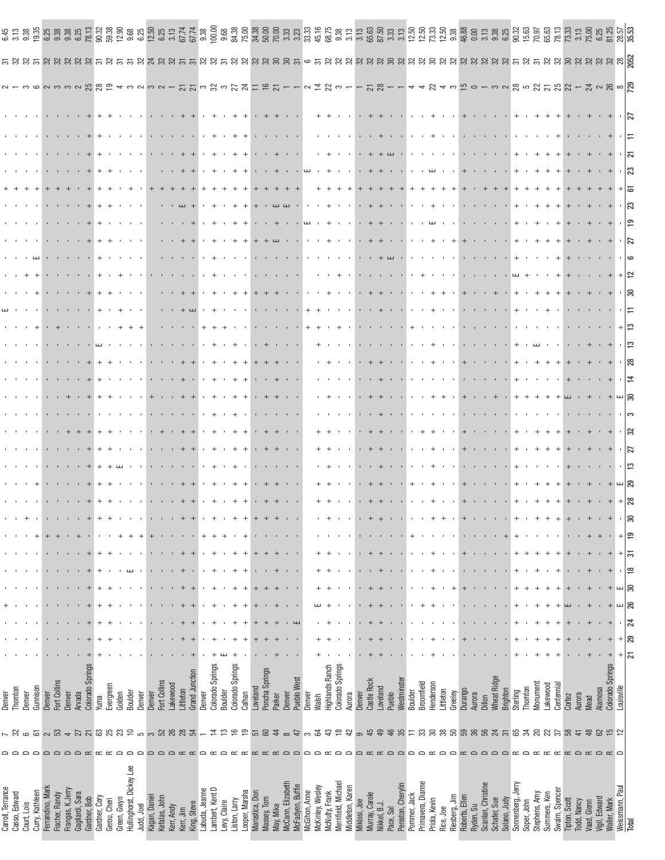| Carroll, Terrance                        |                        | Denver                     |    |    |   |        |        |        |   |     |  |    |  |    |  |  |  |   |                  |  |                                              |
|------------------------------------------|------------------------|----------------------------|----|----|---|--------|--------|--------|---|-----|--|----|--|----|--|--|--|---|------------------|--|----------------------------------------------|
| Casso, Edward                            | ಜ                      | Thornton                   |    |    |   |        |        |        |   |     |  |    |  |    |  |  |  |   |                  |  |                                              |
| Court, Lois                              | $\circ$                | Denver                     |    |    |   |        |        |        |   |     |  |    |  |    |  |  |  |   |                  |  |                                              |
| Curry, Kathleen                          |                        | Gunnison                   |    |    |   |        |        |        |   |     |  |    |  |    |  |  |  |   |                  |  |                                              |
| Ferrandino, Mark                         | $5 \times 3$           | Denver                     |    |    |   |        |        |        |   |     |  |    |  |    |  |  |  |   |                  |  |                                              |
| Fischer, Randy                           |                        | Fort Collins               |    |    |   |        |        |        |   |     |  |    |  |    |  |  |  |   |                  |  |                                              |
| Frangas, K.Jerry                         | $\rightarrow$          | Denver                     |    |    |   |        |        |        |   |     |  |    |  |    |  |  |  |   |                  |  |                                              |
| Gagliardi, Sara                          |                        | Arvada                     |    |    |   |        |        |        |   |     |  |    |  |    |  |  |  |   |                  |  |                                              |
| Gardner, Bob                             | <b>2588</b>            | Colorado Springs           |    |    |   |        |        |        |   |     |  |    |  |    |  |  |  |   |                  |  |                                              |
| Gardner, Cory                            |                        | Yunna                      |    |    |   |        |        |        |   |     |  |    |  |    |  |  |  |   |                  |  |                                              |
| Gerou, Cheri                             |                        | Evergreen                  |    |    |   |        |        |        |   |     |  |    |  |    |  |  |  |   |                  |  |                                              |
| Green, Gwyn                              |                        | Golden                     |    |    |   |        |        |        |   |     |  |    |  |    |  |  |  |   |                  |  | 32 38 38 39<br>38 39 39 30<br>38 31 31 32 33 |
| Hullinghorst, Dickey Lee                 | $\mathbb{Z} \supseteq$ | Boulder                    |    |    |   |        |        |        |   |     |  |    |  |    |  |  |  |   |                  |  |                                              |
| Judd, Joel                               | ഥ                      | Denver                     |    |    |   |        |        |        |   |     |  |    |  |    |  |  |  |   |                  |  |                                              |
| Kagan, Daniel                            | $\infty$               | Denver                     |    |    |   |        |        |        |   |     |  |    |  |    |  |  |  |   |                  |  | 12.50                                        |
| Kefalas, John                            |                        | Fort Collins               |    |    |   |        |        |        |   |     |  |    |  |    |  |  |  |   |                  |  | 6.25                                         |
| Kerr, Andy                               |                        | Lakewood                   |    |    |   |        |        |        |   |     |  |    |  |    |  |  |  |   |                  |  | 3.13                                         |
| Kerr, Jim                                | 38837                  | Littleton                  |    |    |   |        |        |        |   |     |  |    |  |    |  |  |  |   |                  |  | 67.74                                        |
| King, Steve                              |                        | Grand Junction             |    |    |   |        |        |        |   |     |  |    |  |    |  |  |  |   |                  |  |                                              |
| abuda, Jeanne                            |                        | Denver                     |    |    |   |        |        |        |   |     |  |    |  |    |  |  |  |   |                  |  |                                              |
| ambert, Kent D                           | <u>ದ ಏ ಹ</u>           | Colorado Springs           |    |    |   |        |        |        |   |     |  |    |  |    |  |  |  |   |                  |  |                                              |
| Levy, Claire                             |                        | Boulder                    |    |    |   |        |        |        |   |     |  |    |  |    |  |  |  |   |                  |  |                                              |
| _ooper, Marsha<br>Liston, Larry          | $\overline{9}$         | Colorado Springs<br>Calhan |    |    |   |        |        |        |   |     |  |    |  |    |  |  |  |   |                  |  |                                              |
| Marostica, Don                           |                        | Loveland                   |    |    |   |        |        |        |   |     |  |    |  |    |  |  |  |   |                  |  |                                              |
| Massey, Tom                              | 5a                     | Poncha Springs             |    |    |   |        |        |        |   |     |  |    |  |    |  |  |  |   |                  |  |                                              |
| May, Mike                                | $\overline{4}$         | Parker                     |    |    |   |        |        |        |   |     |  |    |  |    |  |  |  |   |                  |  |                                              |
| McCann, Elizabeth                        | $\infty$               | Denver                     |    |    |   |        |        |        |   |     |  |    |  |    |  |  |  |   |                  |  |                                              |
| <b>McFadyen, Buffie</b>                  | 47                     | Pueblo West                |    |    |   |        |        |        |   |     |  |    |  |    |  |  |  |   |                  |  |                                              |
| McGihon, Anne                            | 3                      | Denver                     |    |    |   |        |        |        |   |     |  |    |  |    |  |  |  |   |                  |  |                                              |
| McKinley, Wesley                         | 54                     | <b>Walsh</b>               |    |    |   |        |        |        |   |     |  |    |  |    |  |  |  |   |                  |  |                                              |
| McNulty, Frank                           | $\mathfrak{S}$         | Highlands Ranch            |    |    |   |        |        |        |   |     |  |    |  |    |  |  |  |   |                  |  | 33.55<br>33.55<br>35.53.55                   |
| Merrifield, Michael                      | ≌                      | Colorado Springs           |    |    |   |        |        |        |   |     |  |    |  |    |  |  |  |   |                  |  |                                              |
| Middleton, Karen                         | 42                     | Aurora                     |    |    |   |        |        |        |   |     |  |    |  |    |  |  |  |   |                  |  |                                              |
| Miklosi, Joe<br>Murray, Carole           | ၜ                      | Denver                     |    |    |   |        |        |        |   |     |  |    |  |    |  |  |  |   |                  |  |                                              |
|                                          | 45                     | Castle Rock                |    |    |   |        |        |        |   |     |  |    |  |    |  |  |  |   |                  |  |                                              |
| Nikkel, B.J.                             | 49                     | Loveland                   |    |    |   |        |        |        |   |     |  |    |  |    |  |  |  |   |                  |  |                                              |
| Peniston, Cherylin<br>Pace, Sal          | 46<br>35               | Westminster<br>Pueblo      |    |    |   |        |        |        |   |     |  |    |  |    |  |  |  |   |                  |  |                                              |
| Pommer, Jack                             | 二                      | Boulder                    |    |    |   |        |        |        |   |     |  |    |  |    |  |  |  |   |                  |  |                                              |
| Primavera, Dianne                        | 33                     | Broomfield                 |    |    |   |        |        |        |   |     |  |    |  |    |  |  |  |   |                  |  |                                              |
| Priola, Kevin                            | 8                      | Henderson                  |    |    |   |        |        |        |   |     |  |    |  |    |  |  |  |   |                  |  |                                              |
| Rice, Joe                                | $38\,$                 | Littleton                  |    |    |   |        |        |        |   |     |  |    |  |    |  |  |  |   |                  |  |                                              |
| Riesberg, Jim                            | 50                     | Greeley                    |    |    |   |        |        |        |   |     |  |    |  |    |  |  |  |   |                  |  |                                              |
| Roberts, Ellen                           | <b>88</b>              | Durango                    |    |    |   |        |        |        |   |     |  |    |  |    |  |  |  |   |                  |  |                                              |
| Scanlan, Christine<br>Ryden, Su          |                        | Aurora<br>Dillon           |    |    |   |        |        |        |   |     |  |    |  |    |  |  |  |   |                  |  | $46.88$<br>0.00<br>3.13<br>9.38              |
| $\Box$<br>Schafer, Sue                   |                        | <b>Wheat Ridge</b>         |    |    |   |        |        |        |   |     |  |    |  |    |  |  |  |   |                  |  |                                              |
| $\Box$<br>Solano, Judy                   |                        | Brighton                   |    |    |   |        |        |        |   |     |  |    |  |    |  |  |  |   |                  |  |                                              |
| $\sim$<br>Sonnenberg, Jerry              |                        | Sterling                   |    |    |   |        |        |        |   |     |  |    |  |    |  |  |  |   |                  |  |                                              |
| Soper, John                              | నె                     | Thornton                   |    |    |   |        |        |        |   |     |  |    |  |    |  |  |  |   |                  |  | <b>15.63</b>                                 |
| Stephens, Amy                            | 20                     | Monument                   |    |    |   |        |        |        |   |     |  |    |  |    |  |  |  |   |                  |  |                                              |
| $\sim$<br>Swalm, Spencer<br>Summers, Ken | ಜ<br>57                | Centennial<br>Lakewood     |    |    |   |        |        |        |   |     |  |    |  |    |  |  |  |   |                  |  | 78.13<br>65.63                               |
| Tipton, Scott                            | 89                     | Cortez                     |    |    |   |        |        |        |   |     |  |    |  |    |  |  |  |   |                  |  |                                              |
| $\Box$<br>Todd, Nancy                    | $\frac{4}{3}$          | Aurora                     |    |    |   |        |        |        |   |     |  |    |  |    |  |  |  |   |                  |  | 3.13                                         |
| Vaad, Glenn                              | 48                     | Mead                       |    |    |   |        |        |        |   |     |  |    |  |    |  |  |  |   |                  |  | 75.00                                        |
| $\Box$<br>Vigil, Edward                  |                        | Alamosa                    |    |    |   |        |        |        |   |     |  |    |  |    |  |  |  |   |                  |  |                                              |
| Waller, Mark                             | 852                    | Colorado Springs           |    |    |   |        |        |        |   |     |  |    |  |    |  |  |  |   | $+$ + $\sqrt{2}$ |  | $\frac{25}{28}$                              |
| ≏<br>Weissmann, Paul                     |                        | $^{+}$<br>Louisville       |    |    | ш |        | $^{+}$ | $^{+}$ |   | ച∣ജ |  |    |  |    |  |  |  |   |                  |  |                                              |
| Total                                    |                        | 51                         | ని | 24 | ⋇ | ≌<br>ສ | 57     | ٥Ţ     | ສ |     |  | 12 |  | ¦ఐ |  |  |  | ೫ |                  |  |                                              |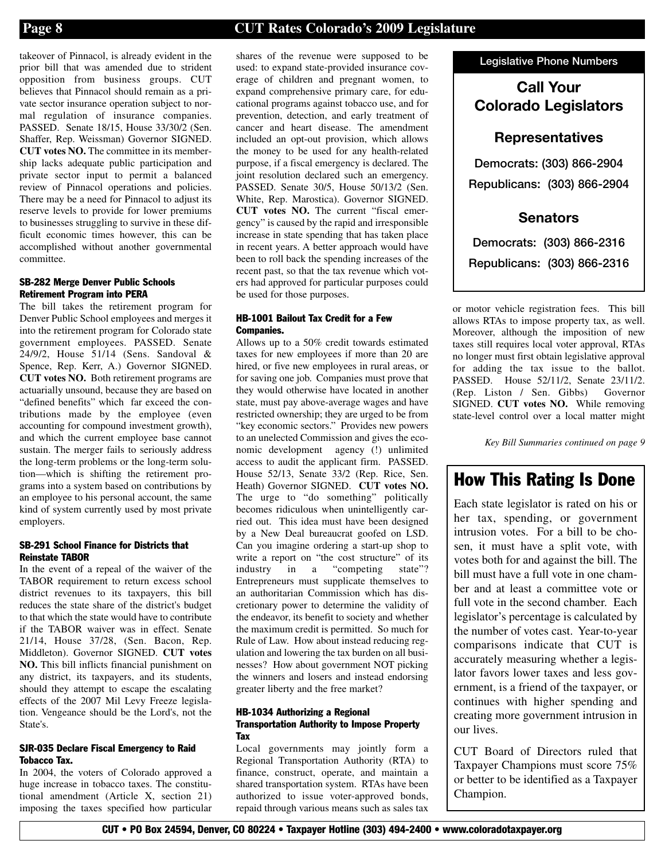takeover of Pinnacol, is already evident in the prior bill that was amended due to strident opposition from business groups. CUT believes that Pinnacol should remain as a private sector insurance operation subject to normal regulation of insurance companies. PASSED. Senate 18/15, House 33/30/2 (Sen. Shaffer, Rep. Weissman) Governor SIGNED. **CUT votes NO.** The committee in its membership lacks adequate public participation and private sector input to permit a balanced review of Pinnacol operations and policies. There may be a need for Pinnacol to adjust its reserve levels to provide for lower premiums to businesses struggling to survive in these difficult economic times however, this can be accomplished without another governmental committee.

#### **SB-282 Merge Denver Public Schools Retirement Program into PERA**

The bill takes the retirement program for Denver Public School employees and merges it into the retirement program for Colorado state government employees. PASSED. Senate 24/9/2, House 51/14 (Sens. Sandoval & Spence, Rep. Kerr, A.) Governor SIGNED. **CUT votes NO.** Both retirement programs are actuarially unsound, because they are based on "defined benefits" which far exceed the contributions made by the employee (even accounting for compound investment growth), and which the current employee base cannot sustain. The merger fails to seriously address the long-term problems or the long-term solution—which is shifting the retirement programs into a system based on contributions by an employee to his personal account, the same kind of system currently used by most private employers.

#### **SB-291 School Finance for Districts that Reinstate TABOR**

In the event of a repeal of the waiver of the TABOR requirement to return excess school district revenues to its taxpayers, this bill reduces the state share of the district's budget to that which the state would have to contribute if the TABOR waiver was in effect. Senate 21/14, House 37/28, (Sen. Bacon, Rep. Middleton). Governor SIGNED. **CUT votes NO.** This bill inflicts financial punishment on any district, its taxpayers, and its students, should they attempt to escape the escalating effects of the 2007 Mil Levy Freeze legislation. Vengeance should be the Lord's, not the State's.

#### **SJR-035 Declare Fiscal Emergency to Raid Tobacco Tax.**

In 2004, the voters of Colorado approved a huge increase in tobacco taxes. The constitutional amendment (Article X, section 21) imposing the taxes specified how particular

shares of the revenue were supposed to be used: to expand state-provided insurance coverage of children and pregnant women, to expand comprehensive primary care, for educational programs against tobacco use, and for prevention, detection, and early treatment of cancer and heart disease. The amendment included an opt-out provision, which allows the money to be used for any health-related purpose, if a fiscal emergency is declared. The joint resolution declared such an emergency. PASSED. Senate 30/5, House 50/13/2 (Sen. White, Rep. Marostica). Governor SIGNED. **CUT votes NO.** The current "fiscal emergency" is caused by the rapid and irresponsible increase in state spending that has taken place in recent years. A better approach would have been to roll back the spending increases of the recent past, so that the tax revenue which voters had approved for particular purposes could be used for those purposes.

#### **HB-1001 Bailout Tax Credit for a Few Companies.**

Allows up to a 50% credit towards estimated taxes for new employees if more than 20 are hired, or five new employees in rural areas, or for saving one job. Companies must prove that they would otherwise have located in another state, must pay above-average wages and have restricted ownership; they are urged to be from "key economic sectors." Provides new powers to an unelected Commission and gives the economic development agency (!) unlimited access to audit the applicant firm. PASSED. House 52/13, Senate 33/2 (Rep. Rice, Sen. Heath) Governor SIGNED. **CUT votes NO.** The urge to "do something" politically becomes ridiculous when unintelligently carried out. This idea must have been designed by a New Deal bureaucrat goofed on LSD. Can you imagine ordering a start-up shop to write a report on "the cost structure" of its<br>industry in a "competing state"?  $industry$  in a "competing" Entrepreneurs must supplicate themselves to an authoritarian Commission which has discretionary power to determine the validity of the endeavor, its benefit to society and whether the maximum credit is permitted. So much for Rule of Law. How about instead reducing regulation and lowering the tax burden on all businesses? How about government NOT picking the winners and losers and instead endorsing greater liberty and the free market?

#### **HB-1034 Authorizing a Regional Transportation Authority to Impose Property Tax**

Local governments may jointly form a Regional Transportation Authority (RTA) to finance, construct, operate, and maintain a shared transportation system. RTAs have been authorized to issue voter-approved bonds, repaid through various means such as sales tax **Legislative Phone Numbers**

### **Call Your Colorado Legislators**

### **Representatives**

**Democrats: (303) 866-2904 Republicans: (303) 866-2904**

### **Senators**

**Democrats: (303) 866-2316 Republicans: (303) 866-2316**

or motor vehicle registration fees. This bill allows RTAs to impose property tax, as well. Moreover, although the imposition of new taxes still requires local voter approval, RTAs no longer must first obtain legislative approval for adding the tax issue to the ballot. PASSED. House 52/11/2, Senate 23/11/2. (Rep. Liston / Sen. Gibbs) Governor SIGNED. **CUT votes NO.** While removing state-level control over a local matter might

*Key Bill Summaries continued on page 9*

## **How This Rating Is Done**

Each state legislator is rated on his or her tax, spending, or government intrusion votes. For a bill to be chosen, it must have a split vote, with votes both for and against the bill. The bill must have a full vote in one chamber and at least a committee vote or full vote in the second chamber. Each legislator's percentage is calculated by the number of votes cast. Year-to-year comparisons indicate that CUT is accurately measuring whether a legislator favors lower taxes and less government, is a friend of the taxpayer, or continues with higher spending and creating more government intrusion in our lives.

CUT Board of Directors ruled that Taxpayer Champions must score 75% or better to be identified as a Taxpayer Champion.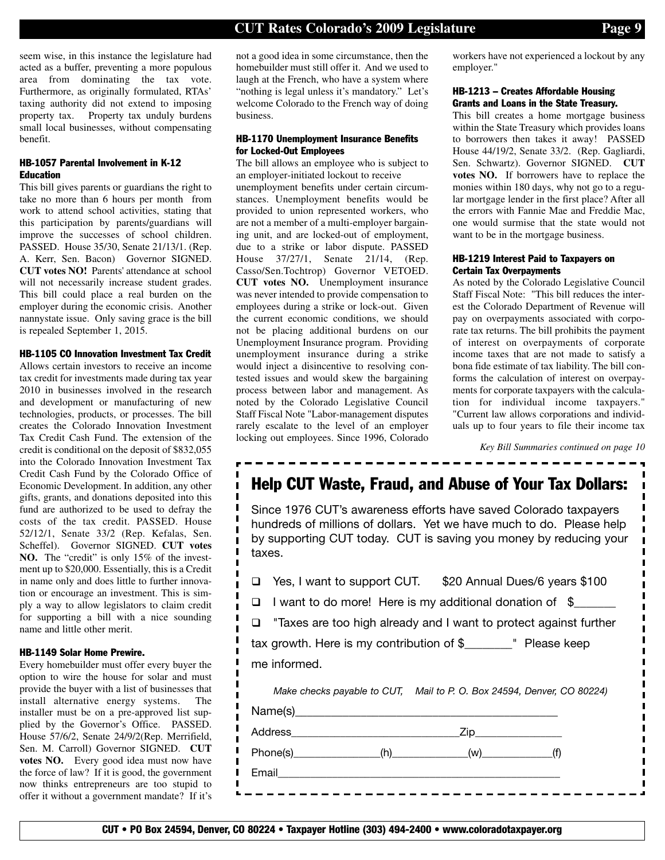seem wise, in this instance the legislature had acted as a buffer, preventing a more populous area from dominating the tax vote. Furthermore, as originally formulated, RTAs' taxing authority did not extend to imposing property tax. Property tax unduly burdens small local businesses, without compensating benefit.

#### **HB-1057 Parental Involvement in K-12 Education**

This bill gives parents or guardians the right to take no more than 6 hours per month from work to attend school activities, stating that this participation by parents/guardians will improve the successes of school children. PASSED. House 35/30, Senate 21/13/1. (Rep. A. Kerr, Sen. Bacon) Governor SIGNED. **CUT votes NO!** Parents' attendance at school will not necessarily increase student grades. This bill could place a real burden on the employer during the economic crisis. Another nannystate issue. Only saving grace is the bill is repealed September 1, 2015.

#### **HB-1105 CO Innovation Investment Tax Credit**

Allows certain investors to receive an income tax credit for investments made during tax year 2010 in businesses involved in the research and development or manufacturing of new technologies, products, or processes. The bill creates the Colorado Innovation Investment Tax Credit Cash Fund. The extension of the credit is conditional on the deposit of \$832,055 into the Colorado Innovation Investment Tax Credit Cash Fund by the Colorado Office of Economic Development. In addition, any other gifts, grants, and donations deposited into this fund are authorized to be used to defray the costs of the tax credit. PASSED. House 52/12/1, Senate 33/2 (Rep. Kefalas, Sen. Scheffel). Governor SIGNED. **CUT votes NO.** The "credit" is only 15% of the investment up to \$20,000. Essentially, this is a Credit in name only and does little to further innovation or encourage an investment. This is simply a way to allow legislators to claim credit for supporting a bill with a nice sounding name and little other merit.

Ī Ī I  $\blacksquare$ Ī  $\mathbf{I}$ Ī I  $\mathbf I$ I

П  $\blacksquare$  $\blacksquare$  $\blacksquare$ 

 $\blacksquare$  $\mathbf I$ П  $\blacksquare$ I Ы

#### **HB-1149 Solar Home Prewire.**

Every homebuilder must offer every buyer the option to wire the house for solar and must provide the buyer with a list of businesses that install alternative energy systems. The installer must be on a pre-approved list supplied by the Governor's Office. PASSED. House 57/6/2, Senate 24/9/2(Rep. Merrifield, Sen. M. Carroll) Governor SIGNED. **CUT votes NO.** Every good idea must now have the force of law? If it is good, the government now thinks entrepreneurs are too stupid to offer it without a government mandate? If it's

not a good idea in some circumstance, then the homebuilder must still offer it. And we used to laugh at the French, who have a system where "nothing is legal unless it's mandatory." Let's welcome Colorado to the French way of doing business.

#### **HB-1170 Unemployment Insurance Benefits for Locked-Out Employees**

The bill allows an employee who is subject to an employer-initiated lockout to receive unemployment benefits under certain circumstances. Unemployment benefits would be provided to union represented workers, who are not a member of a multi-employer bargaining unit, and are locked-out of employment, due to a strike or labor dispute. PASSED House 37/27/1, Senate 21/14, (Rep. Casso/Sen.Tochtrop) Governor VETOED. **CUT votes NO.** Unemployment insurance was never intended to provide compensation to employees during a strike or lock-out. Given the current economic conditions, we should not be placing additional burdens on our Unemployment Insurance program. Providing unemployment insurance during a strike would inject a disincentive to resolving contested issues and would skew the bargaining process between labor and management. As noted by the Colorado Legislative Council Staff Fiscal Note "Labor-management disputes rarely escalate to the level of an employer locking out employees. Since 1996, Colorado workers have not experienced a lockout by any employer."

#### **HB-1213 – Creates Affordable Housing Grants and Loans in the State Treasury.**

This bill creates a home mortgage business within the State Treasury which provides loans to borrowers then takes it away! PASSED House 44/19/2, Senate 33/2. (Rep. Gagliardi, Sen. Schwartz). Governor SIGNED. **CUT votes NO.** If borrowers have to replace the monies within 180 days, why not go to a regular mortgage lender in the first place? After all the errors with Fannie Mae and Freddie Mac, one would surmise that the state would not want to be in the mortgage business.

#### **HB-1219 Interest Paid to Taxpayers on Certain Tax Overpayments**

As noted by the Colorado Legislative Council Staff Fiscal Note: "This bill reduces the interest the Colorado Department of Revenue will pay on overpayments associated with corporate tax returns. The bill prohibits the payment of interest on overpayments of corporate income taxes that are not made to satisfy a bona fide estimate of tax liability. The bill conforms the calculation of interest on overpayments for corporate taxpayers with the calculation for individual income taxpayers." "Current law allows corporations and individuals up to four years to file their income tax

*Key Bill Summaries continued on page 10*

## **Help CUT Waste, Fraud, and Abuse of Your Tax Dollars:**

Since 1976 CUT's awareness efforts have saved Colorado taxpayers hundreds of millions of dollars. Yet we have much to do. Please help by supporting CUT today. CUT is saving you money by reducing your taxes.

|  | □ Yes, I want to support CUT. | \$20 Annual Dues/6 years \$100 |
|--|-------------------------------|--------------------------------|
|--|-------------------------------|--------------------------------|

- $\Box$  I want to do more! Here is my additional donation of  $\sin$
- $\Box$  "Taxes are too high already and I want to protect against further

tax growth. Here is my contribution of \$\_\_\_\_\_\_\_\_" Please keep me informed.

|       | Make checks payable to CUT, Mail to P. O. Box 24594, Denver, CO 80224) |
|-------|------------------------------------------------------------------------|
|       |                                                                        |
|       | Zip_________________                                                   |
|       |                                                                        |
| Email |                                                                        |
|       |                                                                        |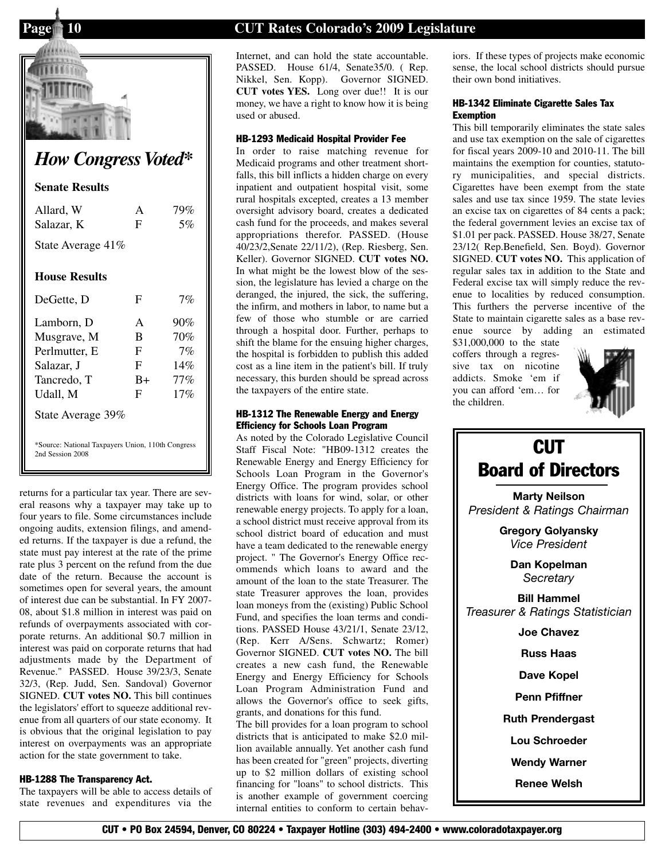

# *How Congress Voted\**

#### **Senate Results**

| Allard, W                                                             | A    | 79%    |
|-----------------------------------------------------------------------|------|--------|
| Salazar, K                                                            | F    | 5%     |
| State Average 41%                                                     |      |        |
| <b>House Results</b>                                                  |      |        |
| DeGette, D                                                            | F    | 7%     |
| Lamborn, D                                                            | A    | 90%    |
| Musgrave, M                                                           | B    | 70%    |
| Perlmutter, E                                                         | F    | 7%     |
| Salazar, J                                                            | F    | 14%    |
| Tancredo, T                                                           | $B+$ | $77\%$ |
| Udall, M                                                              | F    | 17%    |
| State Average 39%                                                     |      |        |
| *Source: National Taxpayers Union, 110th Congress<br>2nd Session 2008 |      |        |

returns for a particular tax year. There are several reasons why a taxpayer may take up to four years to file. Some circumstances include ongoing audits, extension filings, and amended returns. If the taxpayer is due a refund, the state must pay interest at the rate of the prime rate plus 3 percent on the refund from the due date of the return. Because the account is sometimes open for several years, the amount of interest due can be substantial. In FY 2007- 08, about \$1.8 million in interest was paid on refunds of overpayments associated with corporate returns. An additional \$0.7 million in interest was paid on corporate returns that had adjustments made by the Department of Revenue." PASSED. House 39/23/3, Senate 32/3, (Rep. Judd, Sen. Sandoval) Governor SIGNED. **CUT votes NO.** This bill continues the legislators' effort to squeeze additional revenue from all quarters of our state economy. It is obvious that the original legislation to pay interest on overpayments was an appropriate action for the state government to take.

#### **HB-1288 The Transparency Act.**

The taxpayers will be able to access details of state revenues and expenditures via the

### **Page 10 CUT Rates Colorado's 2009 Legislature**

Internet, and can hold the state accountable. PASSED. House 61/4, Senate 35/0. (Rep. Nikkel, Sen. Kopp). Governor SIGNED. **CUT votes YES.** Long over due!! It is our money, we have a right to know how it is being used or abused.

#### **HB-1293 Medicaid Hospital Provider Fee**

In order to raise matching revenue for Medicaid programs and other treatment shortfalls, this bill inflicts a hidden charge on every inpatient and outpatient hospital visit, some rural hospitals excepted, creates a 13 member oversight advisory board, creates a dedicated cash fund for the proceeds, and makes several appropriations therefor. PASSED. (House 40/23/2,Senate 22/11/2), (Rep. Riesberg, Sen. Keller). Governor SIGNED. **CUT votes NO.** In what might be the lowest blow of the session, the legislature has levied a charge on the deranged, the injured, the sick, the suffering, the infirm, and mothers in labor, to name but a few of those who stumble or are carried through a hospital door. Further, perhaps to shift the blame for the ensuing higher charges, the hospital is forbidden to publish this added cost as a line item in the patient's bill. If truly necessary, this burden should be spread across the taxpayers of the entire state.

#### **HB-1312 The Renewable Energy and Energy Efficiency for Schools Loan Program**

As noted by the Colorado Legislative Council \*Source: National Taxpayers Union, 110th Congress<br>
2nd Session 2008 **CUT**<br>
2nd Session 2008 **CUT** Renewable Energy and Energy Efficiency for Schools Loan Program in the Governor's Energy Office. The program provides school districts with loans for wind, solar, or other renewable energy projects. To apply for a loan, a school district must receive approval from its school district board of education and must have a team dedicated to the renewable energy project. " The Governor's Energy Office recommends which loans to award and the amount of the loan to the state Treasurer. The state Treasurer approves the loan, provides loan moneys from the (existing) Public School Fund, and specifies the loan terms and conditions. PASSED House 43/21/1, Senate 23/12, (Rep. Kerr A/Sens. Schwartz; Romer) Governor SIGNED. **CUT votes NO.** The bill creates a new cash fund, the Renewable Energy and Energy Efficiency for Schools Loan Program Administration Fund and allows the Governor's office to seek gifts, grants, and donations for this fund.

> The bill provides for a loan program to school districts that is anticipated to make \$2.0 million available annually. Yet another cash fund has been created for "green" projects, diverting up to \$2 million dollars of existing school financing for "loans" to school districts. This is another example of government coercing internal entities to conform to certain behav

iors. If these types of projects make economic sense, the local school districts should pursue their own bond initiatives.

#### **HB-1342 Eliminate Cigarette Sales Tax Exemption**

This bill temporarily eliminates the state sales and use tax exemption on the sale of cigarettes for fiscal years 2009-10 and 2010-11. The bill maintains the exemption for counties, statutory municipalities, and special districts. Cigarettes have been exempt from the state sales and use tax since 1959. The state levies an excise tax on cigarettes of 84 cents a pack; the federal government levies an excise tax of \$1.01 per pack. PASSED. House 38/27, Senate 23/12( Rep.Benefield, Sen. Boyd). Governor SIGNED. **CUT votes NO.** This application of regular sales tax in addition to the State and Federal excise tax will simply reduce the revenue to localities by reduced consumption. This furthers the perverse incentive of the State to maintain cigarette sales as a base revenue source by adding an estimated

\$31,000,000 to the state coffers through a regressive tax on nicotine addicts. Smoke 'em if you can afford 'em… for the children.



# **Board of Directors Marty Neilson** *President & Ratings Chairman* **Gregory Golyansky** *Vice President* **Dan Kopelman** *Secretary* **Bill Hammel** *Treasurer & Ratings Statistician* **Joe Chavez Russ Haas Dave Kopel Penn Pfiffner Ruth Prendergast Lou Schroeder Wendy Warner Renee Welsh**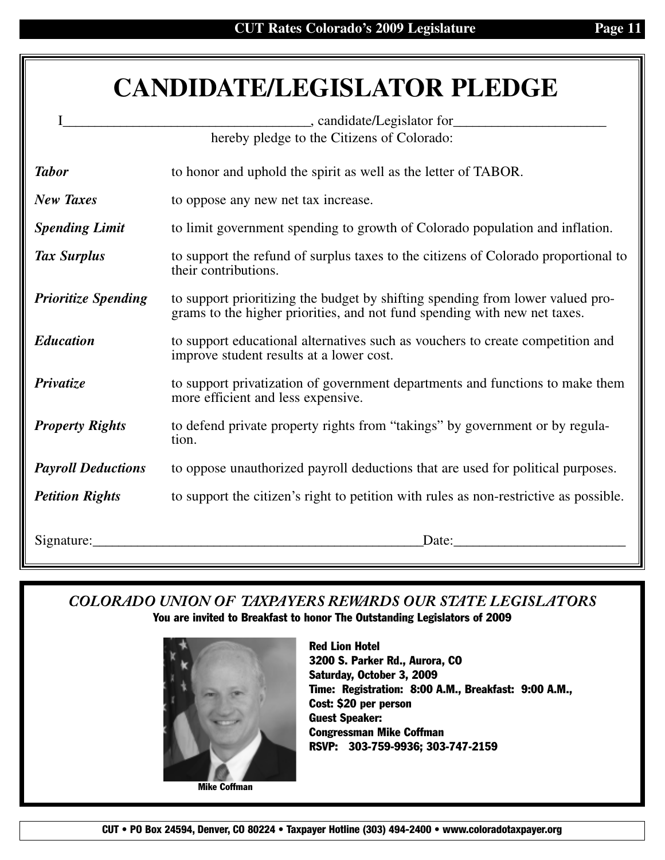# **CANDIDATE/LEGISLATOR PLEDGE**

|                            | hereby pledge to the Citizens of Colorado:                                                                                                                  |
|----------------------------|-------------------------------------------------------------------------------------------------------------------------------------------------------------|
| <b>Tabor</b>               | to honor and uphold the spirit as well as the letter of TABOR.                                                                                              |
| <b>New Taxes</b>           | to oppose any new net tax increase.                                                                                                                         |
| <b>Spending Limit</b>      | to limit government spending to growth of Colorado population and inflation.                                                                                |
| <b>Tax Surplus</b>         | to support the refund of surplus taxes to the citizens of Colorado proportional to<br>their contributions.                                                  |
| <b>Prioritize Spending</b> | to support prioritizing the budget by shifting spending from lower valued pro-<br>grams to the higher priorities, and not fund spending with new net taxes. |
| <b>Education</b>           | to support educational alternatives such as vouchers to create competition and<br>improve student results at a lower cost.                                  |
| Privatize                  | to support privatization of government departments and functions to make them<br>more efficient and less expensive.                                         |
| <b>Property Rights</b>     | to defend private property rights from "takings" by government or by regula-<br>tion.                                                                       |
| <b>Payroll Deductions</b>  | to oppose unauthorized payroll deductions that are used for political purposes.                                                                             |
| <b>Petition Rights</b>     | to support the citizen's right to petition with rules as non-restrictive as possible.                                                                       |
|                            | Date:                                                                                                                                                       |

### *COLORADO UNION OF TAXPAYERS REWARDS OUR STATE LEGISLATORS* **You are invited to Breakfast to honor The Outstanding Legislators of 2009**



**Mike Coffman**

**Red Lion Hotel 3200 S. Parker Rd., Aurora, CO Saturday, October 3, 2009 Time: Registration: 8:00 A.M., Breakfast: 9:00 A.M., Cost: \$20 per person Guest Speaker: Congressman Mike Coffman RSVP: 303-759-9936; 303-747-2159**